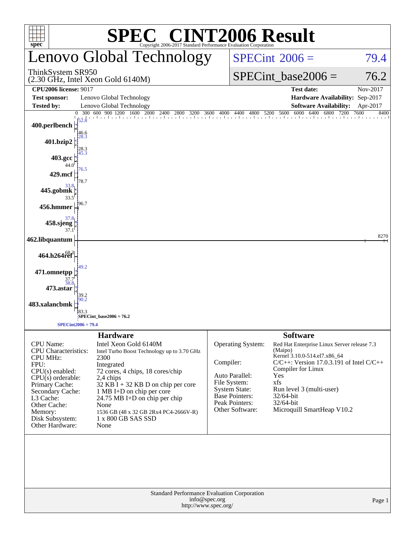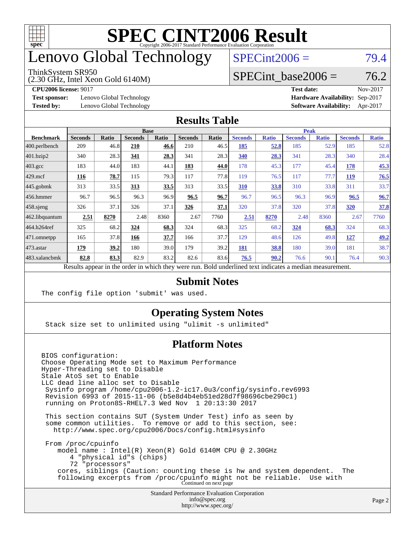

## enovo Global Technology

#### ThinkSystem SR950

(2.30 GHz, Intel Xeon Gold 6140M)

 $SPECint2006 = 79.4$  $SPECint2006 = 79.4$ 

#### SPECint base2006 =  $76.2$

**[Test sponsor:](http://www.spec.org/auto/cpu2006/Docs/result-fields.html#Testsponsor)** Lenovo Global Technology **[Hardware Availability:](http://www.spec.org/auto/cpu2006/Docs/result-fields.html#HardwareAvailability)** Sep-2017

**[CPU2006 license:](http://www.spec.org/auto/cpu2006/Docs/result-fields.html#CPU2006license)** 9017 **[Test date:](http://www.spec.org/auto/cpu2006/Docs/result-fields.html#Testdate)** Nov-2017 **[Tested by:](http://www.spec.org/auto/cpu2006/Docs/result-fields.html#Testedby)** Lenovo Global Technology **[Software Availability:](http://www.spec.org/auto/cpu2006/Docs/result-fields.html#SoftwareAvailability)** Apr-2017

#### **[Results Table](http://www.spec.org/auto/cpu2006/Docs/result-fields.html#ResultsTable)**

|                                                                                                          | <b>Base</b>    |              |                |              | <b>Peak</b>    |       |                |              |                |              |                |              |
|----------------------------------------------------------------------------------------------------------|----------------|--------------|----------------|--------------|----------------|-------|----------------|--------------|----------------|--------------|----------------|--------------|
| <b>Benchmark</b>                                                                                         | <b>Seconds</b> | <b>Ratio</b> | <b>Seconds</b> | <b>Ratio</b> | <b>Seconds</b> | Ratio | <b>Seconds</b> | <b>Ratio</b> | <b>Seconds</b> | <b>Ratio</b> | <b>Seconds</b> | <b>Ratio</b> |
| 400.perlbench                                                                                            | 209            | 46.8         | 210            | 46.6         | 210            | 46.5  | 185            | <u>52.8</u>  | 185            | 52.9         | 185            | 52.8         |
| 401.bzip2                                                                                                | 340            | 28.3         | 341            | 28.3         | 341            | 28.3  | 340            | 28.3         | 341            | 28.3         | 340            | 28.4         |
| $403.\mathrm{gcc}$                                                                                       | 183            | 44.0         | 183            | 44.1         | 183            | 44.0  | 178            | 45.3         | 177            | 45.4         | 178            | 45.3         |
| $429$ mcf                                                                                                | 116            | 78.7         | 115            | 79.3         | 117            | 77.8  | 119            | 76.5         | 117            | 77.7         | <b>119</b>     | 76.5         |
| $445$ .gobmk                                                                                             | 313            | 33.5         | 313            | 33.5         | 313            | 33.5  | 310            | 33.8         | 310            | 33.8         | 311            | 33.7         |
| $456.$ hmmer                                                                                             | 96.7           | 96.5         | 96.3           | 96.9         | 96.5           | 96.7  | 96.7           | 96.5         | 96.3           | 96.9         | 96.5           | 96.7         |
| $458$ .sjeng                                                                                             | 326            | 37.1         | 326            | 37.1         | 326            | 37.1  | 320            | 37.8         | 320            | 37.8         | 320            | 37.8         |
| 462.libquantum                                                                                           | 2.51           | 8270         | 2.48           | 8360         | 2.67           | 7760  | 2.51           | 8270         | 2.48           | 8360         | 2.67           | 7760         |
| 464.h264ref                                                                                              | 325            | 68.2         | 324            | 68.3         | 324            | 68.3  | 325            | 68.2         | 324            | 68.3         | 324            | 68.3         |
| $ 471$ .omnetpp                                                                                          | 165            | 37.8         | 166            | 37.7         | 166            | 37.7  | 129            | 48.6         | 126            | 49.8         | 127            | 49.2         |
| $473$ . astar                                                                                            | 179            | 39.2         | 180            | 39.0         | 179            | 39.2  | 181            | 38.8         | 180            | 39.0         | 181            | 38.7         |
| 483.xalancbmk                                                                                            | 82.8           | 83.3         | 82.9           | 83.2         | 82.6           | 83.6  | 76.5           | 90.2         | 76.6           | 90.1         | 76.4           | 90.3         |
| Results appear in the order in which they were run. Bold underlined text indicates a median measurement. |                |              |                |              |                |       |                |              |                |              |                |              |

#### **[Submit Notes](http://www.spec.org/auto/cpu2006/Docs/result-fields.html#SubmitNotes)**

The config file option 'submit' was used.

#### **[Operating System Notes](http://www.spec.org/auto/cpu2006/Docs/result-fields.html#OperatingSystemNotes)**

Stack size set to unlimited using "ulimit -s unlimited"

#### **[Platform Notes](http://www.spec.org/auto/cpu2006/Docs/result-fields.html#PlatformNotes)**

Standard Performance Evaluation Corporation [info@spec.org](mailto:info@spec.org) BIOS configuration: Choose Operating Mode set to Maximum Performance Hyper-Threading set to Disable Stale AtoS set to Enable LLC dead line alloc set to Disable Sysinfo program /home/cpu2006-1.2-ic17.0u3/config/sysinfo.rev6993 Revision 6993 of 2015-11-06 (b5e8d4b4eb51ed28d7f98696cbe290c1) running on Proton8S-RHEL7.3 Wed Nov 1 20:13:30 2017 This section contains SUT (System Under Test) info as seen by some common utilities. To remove or add to this section, see: <http://www.spec.org/cpu2006/Docs/config.html#sysinfo> From /proc/cpuinfo model name : Intel(R) Xeon(R) Gold 6140M CPU @ 2.30GHz 4 "physical id"s (chips) 72 "processors" cores, siblings (Caution: counting these is hw and system dependent. The following excerpts from /proc/cpuinfo might not be reliable. Use with Continued on next page

<http://www.spec.org/>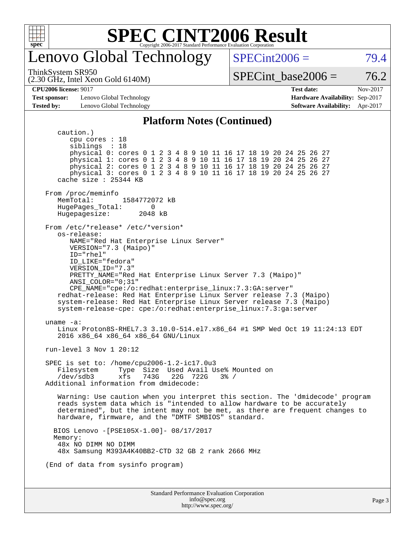

### enovo Global Technology

 $SPECint2006 = 79.4$  $SPECint2006 = 79.4$ 

(2.30 GHz, Intel Xeon Gold 6140M) ThinkSystem SR950

SPECint base2006 =  $76.2$ 

**[Test sponsor:](http://www.spec.org/auto/cpu2006/Docs/result-fields.html#Testsponsor)** Lenovo Global Technology **[Hardware Availability:](http://www.spec.org/auto/cpu2006/Docs/result-fields.html#HardwareAvailability)** Sep-2017 **[Tested by:](http://www.spec.org/auto/cpu2006/Docs/result-fields.html#Testedby)** Lenovo Global Technology **[Software Availability:](http://www.spec.org/auto/cpu2006/Docs/result-fields.html#SoftwareAvailability)** Apr-2017

**[CPU2006 license:](http://www.spec.org/auto/cpu2006/Docs/result-fields.html#CPU2006license)** 9017 **[Test date:](http://www.spec.org/auto/cpu2006/Docs/result-fields.html#Testdate)** Nov-2017

#### **[Platform Notes \(Continued\)](http://www.spec.org/auto/cpu2006/Docs/result-fields.html#PlatformNotes)**

Standard Performance Evaluation Corporation [info@spec.org](mailto:info@spec.org) <http://www.spec.org/> caution.) cpu cores : 18 siblings : 18 physical 0: cores 0 1 2 3 4 8 9 10 11 16 17 18 19 20 24 25 26 27 physical 1: cores 0 1 2 3 4 8 9 10 11 16 17 18 19 20 24 25 26 27 physical 2: cores 0 1 2 3 4 8 9 10 11 16 17 18 19 20 24 25 26 27 physical 3: cores 0 1 2 3 4 8 9 10 11 16 17 18 19 20 24 25 26 27 cache size : 25344 KB From /proc/meminfo<br>MemTotal: 1584772072 kB HugePages\_Total: 0 Hugepagesize: 2048 kB From /etc/\*release\* /etc/\*version\* os-release: NAME="Red Hat Enterprise Linux Server" VERSION="7.3 (Maipo)" ID="rhel" ID\_LIKE="fedora" VERSION\_ID="7.3" PRETTY\_NAME="Red Hat Enterprise Linux Server 7.3 (Maipo)" ANSI\_COLOR="0;31" CPE\_NAME="cpe:/o:redhat:enterprise\_linux:7.3:GA:server" redhat-release: Red Hat Enterprise Linux Server release 7.3 (Maipo) system-release: Red Hat Enterprise Linux Server release 7.3 (Maipo) system-release-cpe: cpe:/o:redhat:enterprise\_linux:7.3:ga:server uname -a: Linux Proton8S-RHEL7.3 3.10.0-514.el7.x86\_64 #1 SMP Wed Oct 19 11:24:13 EDT 2016 x86\_64 x86\_64 x86\_64 GNU/Linux run-level 3 Nov 1 20:12 SPEC is set to: /home/cpu2006-1.2-ic17.0u3 Filesystem Type Size Used Avail Use% Mounted on<br>/dev/sdb3 xfs 743G 22G 722G 3% / /dev/sdb3 xfs 743G 22G 722G 3% / Additional information from dmidecode: Warning: Use caution when you interpret this section. The 'dmidecode' program reads system data which is "intended to allow hardware to be accurately determined", but the intent may not be met, as there are frequent changes to hardware, firmware, and the "DMTF SMBIOS" standard. BIOS Lenovo -[PSE105X-1.00]- 08/17/2017 Memory: 48x NO DIMM NO DIMM 48x Samsung M393A4K40BB2-CTD 32 GB 2 rank 2666 MHz (End of data from sysinfo program)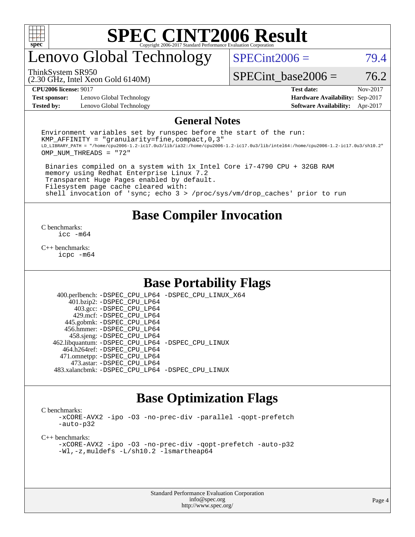

## enovo Global Technology

 $SPECint2006 = 79.4$  $SPECint2006 = 79.4$ 

(2.30 GHz, Intel Xeon Gold 6140M) ThinkSystem SR950

SPECint base2006 =  $76.2$ 

**[Test sponsor:](http://www.spec.org/auto/cpu2006/Docs/result-fields.html#Testsponsor)** Lenovo Global Technology **[Hardware Availability:](http://www.spec.org/auto/cpu2006/Docs/result-fields.html#HardwareAvailability)** Sep-2017 **[Tested by:](http://www.spec.org/auto/cpu2006/Docs/result-fields.html#Testedby)** Lenovo Global Technology **[Software Availability:](http://www.spec.org/auto/cpu2006/Docs/result-fields.html#SoftwareAvailability)** Apr-2017

**[CPU2006 license:](http://www.spec.org/auto/cpu2006/Docs/result-fields.html#CPU2006license)** 9017 **[Test date:](http://www.spec.org/auto/cpu2006/Docs/result-fields.html#Testdate)** Nov-2017

#### **[General Notes](http://www.spec.org/auto/cpu2006/Docs/result-fields.html#GeneralNotes)**

Environment variables set by runspec before the start of the run: KMP AFFINITY = "granularity=fine, compact,  $0,3$ " LD\_LIBRARY\_PATH = "/home/cpu2006-1.2-ic17.0u3/lib/ia32:/home/cpu2006-1.2-ic17.0u3/lib/intel64:/home/cpu2006-1.2-ic17.0u3/sh10.2" OMP\_NUM\_THREADS = "72"

 Binaries compiled on a system with 1x Intel Core i7-4790 CPU + 32GB RAM memory using Redhat Enterprise Linux 7.2 Transparent Huge Pages enabled by default. Filesystem page cache cleared with: shell invocation of 'sync; echo 3 > /proc/sys/vm/drop\_caches' prior to run

#### **[Base Compiler Invocation](http://www.spec.org/auto/cpu2006/Docs/result-fields.html#BaseCompilerInvocation)**

[C benchmarks](http://www.spec.org/auto/cpu2006/Docs/result-fields.html#Cbenchmarks): [icc -m64](http://www.spec.org/cpu2006/results/res2017q4/cpu2006-20171114-50713.flags.html#user_CCbase_intel_icc_64bit_bda6cc9af1fdbb0edc3795bac97ada53)

[C++ benchmarks:](http://www.spec.org/auto/cpu2006/Docs/result-fields.html#CXXbenchmarks) [icpc -m64](http://www.spec.org/cpu2006/results/res2017q4/cpu2006-20171114-50713.flags.html#user_CXXbase_intel_icpc_64bit_fc66a5337ce925472a5c54ad6a0de310)

#### **[Base Portability Flags](http://www.spec.org/auto/cpu2006/Docs/result-fields.html#BasePortabilityFlags)**

 400.perlbench: [-DSPEC\\_CPU\\_LP64](http://www.spec.org/cpu2006/results/res2017q4/cpu2006-20171114-50713.flags.html#b400.perlbench_basePORTABILITY_DSPEC_CPU_LP64) [-DSPEC\\_CPU\\_LINUX\\_X64](http://www.spec.org/cpu2006/results/res2017q4/cpu2006-20171114-50713.flags.html#b400.perlbench_baseCPORTABILITY_DSPEC_CPU_LINUX_X64) 401.bzip2: [-DSPEC\\_CPU\\_LP64](http://www.spec.org/cpu2006/results/res2017q4/cpu2006-20171114-50713.flags.html#suite_basePORTABILITY401_bzip2_DSPEC_CPU_LP64) 403.gcc: [-DSPEC\\_CPU\\_LP64](http://www.spec.org/cpu2006/results/res2017q4/cpu2006-20171114-50713.flags.html#suite_basePORTABILITY403_gcc_DSPEC_CPU_LP64) 429.mcf: [-DSPEC\\_CPU\\_LP64](http://www.spec.org/cpu2006/results/res2017q4/cpu2006-20171114-50713.flags.html#suite_basePORTABILITY429_mcf_DSPEC_CPU_LP64) 445.gobmk: [-DSPEC\\_CPU\\_LP64](http://www.spec.org/cpu2006/results/res2017q4/cpu2006-20171114-50713.flags.html#suite_basePORTABILITY445_gobmk_DSPEC_CPU_LP64) 456.hmmer: [-DSPEC\\_CPU\\_LP64](http://www.spec.org/cpu2006/results/res2017q4/cpu2006-20171114-50713.flags.html#suite_basePORTABILITY456_hmmer_DSPEC_CPU_LP64) 458.sjeng: [-DSPEC\\_CPU\\_LP64](http://www.spec.org/cpu2006/results/res2017q4/cpu2006-20171114-50713.flags.html#suite_basePORTABILITY458_sjeng_DSPEC_CPU_LP64) 462.libquantum: [-DSPEC\\_CPU\\_LP64](http://www.spec.org/cpu2006/results/res2017q4/cpu2006-20171114-50713.flags.html#suite_basePORTABILITY462_libquantum_DSPEC_CPU_LP64) [-DSPEC\\_CPU\\_LINUX](http://www.spec.org/cpu2006/results/res2017q4/cpu2006-20171114-50713.flags.html#b462.libquantum_baseCPORTABILITY_DSPEC_CPU_LINUX) 464.h264ref: [-DSPEC\\_CPU\\_LP64](http://www.spec.org/cpu2006/results/res2017q4/cpu2006-20171114-50713.flags.html#suite_basePORTABILITY464_h264ref_DSPEC_CPU_LP64) 471.omnetpp: [-DSPEC\\_CPU\\_LP64](http://www.spec.org/cpu2006/results/res2017q4/cpu2006-20171114-50713.flags.html#suite_basePORTABILITY471_omnetpp_DSPEC_CPU_LP64) 473.astar: [-DSPEC\\_CPU\\_LP64](http://www.spec.org/cpu2006/results/res2017q4/cpu2006-20171114-50713.flags.html#suite_basePORTABILITY473_astar_DSPEC_CPU_LP64) 483.xalancbmk: [-DSPEC\\_CPU\\_LP64](http://www.spec.org/cpu2006/results/res2017q4/cpu2006-20171114-50713.flags.html#suite_basePORTABILITY483_xalancbmk_DSPEC_CPU_LP64) [-DSPEC\\_CPU\\_LINUX](http://www.spec.org/cpu2006/results/res2017q4/cpu2006-20171114-50713.flags.html#b483.xalancbmk_baseCXXPORTABILITY_DSPEC_CPU_LINUX)

### **[Base Optimization Flags](http://www.spec.org/auto/cpu2006/Docs/result-fields.html#BaseOptimizationFlags)**

[C benchmarks](http://www.spec.org/auto/cpu2006/Docs/result-fields.html#Cbenchmarks):

[-xCORE-AVX2](http://www.spec.org/cpu2006/results/res2017q4/cpu2006-20171114-50713.flags.html#user_CCbase_f-xCORE-AVX2) [-ipo](http://www.spec.org/cpu2006/results/res2017q4/cpu2006-20171114-50713.flags.html#user_CCbase_f-ipo) [-O3](http://www.spec.org/cpu2006/results/res2017q4/cpu2006-20171114-50713.flags.html#user_CCbase_f-O3) [-no-prec-div](http://www.spec.org/cpu2006/results/res2017q4/cpu2006-20171114-50713.flags.html#user_CCbase_f-no-prec-div) [-parallel](http://www.spec.org/cpu2006/results/res2017q4/cpu2006-20171114-50713.flags.html#user_CCbase_f-parallel) [-qopt-prefetch](http://www.spec.org/cpu2006/results/res2017q4/cpu2006-20171114-50713.flags.html#user_CCbase_f-qopt-prefetch) [-auto-p32](http://www.spec.org/cpu2006/results/res2017q4/cpu2006-20171114-50713.flags.html#user_CCbase_f-auto-p32)

[C++ benchmarks:](http://www.spec.org/auto/cpu2006/Docs/result-fields.html#CXXbenchmarks)

[-xCORE-AVX2](http://www.spec.org/cpu2006/results/res2017q4/cpu2006-20171114-50713.flags.html#user_CXXbase_f-xCORE-AVX2) [-ipo](http://www.spec.org/cpu2006/results/res2017q4/cpu2006-20171114-50713.flags.html#user_CXXbase_f-ipo) [-O3](http://www.spec.org/cpu2006/results/res2017q4/cpu2006-20171114-50713.flags.html#user_CXXbase_f-O3) [-no-prec-div](http://www.spec.org/cpu2006/results/res2017q4/cpu2006-20171114-50713.flags.html#user_CXXbase_f-no-prec-div) [-qopt-prefetch](http://www.spec.org/cpu2006/results/res2017q4/cpu2006-20171114-50713.flags.html#user_CXXbase_f-qopt-prefetch) [-auto-p32](http://www.spec.org/cpu2006/results/res2017q4/cpu2006-20171114-50713.flags.html#user_CXXbase_f-auto-p32) [-Wl,-z,muldefs](http://www.spec.org/cpu2006/results/res2017q4/cpu2006-20171114-50713.flags.html#user_CXXbase_link_force_multiple1_74079c344b956b9658436fd1b6dd3a8a) [-L/sh10.2 -lsmartheap64](http://www.spec.org/cpu2006/results/res2017q4/cpu2006-20171114-50713.flags.html#user_CXXbase_SmartHeap64_63911d860fc08c15fa1d5bf319b9d8d5)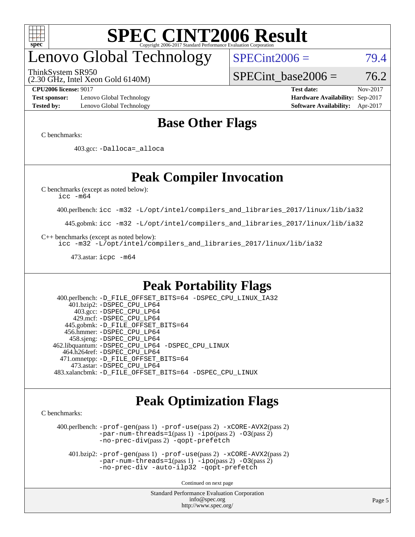

# enovo Global Technology

ThinkSystem SR950

 $SPECint2006 = 79.4$  $SPECint2006 = 79.4$ 

(2.30 GHz, Intel Xeon Gold 6140M)

SPECint base2006 =  $76.2$ 

**[Test sponsor:](http://www.spec.org/auto/cpu2006/Docs/result-fields.html#Testsponsor)** Lenovo Global Technology **[Hardware Availability:](http://www.spec.org/auto/cpu2006/Docs/result-fields.html#HardwareAvailability)** Sep-2017 **[Tested by:](http://www.spec.org/auto/cpu2006/Docs/result-fields.html#Testedby)** Lenovo Global Technology **[Software Availability:](http://www.spec.org/auto/cpu2006/Docs/result-fields.html#SoftwareAvailability)** Apr-2017

**[CPU2006 license:](http://www.spec.org/auto/cpu2006/Docs/result-fields.html#CPU2006license)** 9017 **[Test date:](http://www.spec.org/auto/cpu2006/Docs/result-fields.html#Testdate)** Nov-2017

### **[Base Other Flags](http://www.spec.org/auto/cpu2006/Docs/result-fields.html#BaseOtherFlags)**

[C benchmarks](http://www.spec.org/auto/cpu2006/Docs/result-fields.html#Cbenchmarks):

403.gcc: [-Dalloca=\\_alloca](http://www.spec.org/cpu2006/results/res2017q4/cpu2006-20171114-50713.flags.html#b403.gcc_baseEXTRA_CFLAGS_Dalloca_be3056838c12de2578596ca5467af7f3)

### **[Peak Compiler Invocation](http://www.spec.org/auto/cpu2006/Docs/result-fields.html#PeakCompilerInvocation)**

[C benchmarks \(except as noted below\)](http://www.spec.org/auto/cpu2006/Docs/result-fields.html#Cbenchmarksexceptasnotedbelow):

[icc -m64](http://www.spec.org/cpu2006/results/res2017q4/cpu2006-20171114-50713.flags.html#user_CCpeak_intel_icc_64bit_bda6cc9af1fdbb0edc3795bac97ada53)

400.perlbench: [icc -m32 -L/opt/intel/compilers\\_and\\_libraries\\_2017/linux/lib/ia32](http://www.spec.org/cpu2006/results/res2017q4/cpu2006-20171114-50713.flags.html#user_peakCCLD400_perlbench_intel_icc_c29f3ff5a7ed067b11e4ec10a03f03ae)

445.gobmk: [icc -m32 -L/opt/intel/compilers\\_and\\_libraries\\_2017/linux/lib/ia32](http://www.spec.org/cpu2006/results/res2017q4/cpu2006-20171114-50713.flags.html#user_peakCCLD445_gobmk_intel_icc_c29f3ff5a7ed067b11e4ec10a03f03ae)

[C++ benchmarks \(except as noted below\):](http://www.spec.org/auto/cpu2006/Docs/result-fields.html#CXXbenchmarksexceptasnotedbelow)

[icc -m32 -L/opt/intel/compilers\\_and\\_libraries\\_2017/linux/lib/ia32](http://www.spec.org/cpu2006/results/res2017q4/cpu2006-20171114-50713.flags.html#user_CXXpeak_intel_icc_c29f3ff5a7ed067b11e4ec10a03f03ae)

473.astar: [icpc -m64](http://www.spec.org/cpu2006/results/res2017q4/cpu2006-20171114-50713.flags.html#user_peakCXXLD473_astar_intel_icpc_64bit_fc66a5337ce925472a5c54ad6a0de310)

### **[Peak Portability Flags](http://www.spec.org/auto/cpu2006/Docs/result-fields.html#PeakPortabilityFlags)**

 400.perlbench: [-D\\_FILE\\_OFFSET\\_BITS=64](http://www.spec.org/cpu2006/results/res2017q4/cpu2006-20171114-50713.flags.html#user_peakPORTABILITY400_perlbench_file_offset_bits_64_438cf9856305ebd76870a2c6dc2689ab) [-DSPEC\\_CPU\\_LINUX\\_IA32](http://www.spec.org/cpu2006/results/res2017q4/cpu2006-20171114-50713.flags.html#b400.perlbench_peakCPORTABILITY_DSPEC_CPU_LINUX_IA32) 401.bzip2: [-DSPEC\\_CPU\\_LP64](http://www.spec.org/cpu2006/results/res2017q4/cpu2006-20171114-50713.flags.html#suite_peakPORTABILITY401_bzip2_DSPEC_CPU_LP64) 403.gcc: [-DSPEC\\_CPU\\_LP64](http://www.spec.org/cpu2006/results/res2017q4/cpu2006-20171114-50713.flags.html#suite_peakPORTABILITY403_gcc_DSPEC_CPU_LP64) 429.mcf: [-DSPEC\\_CPU\\_LP64](http://www.spec.org/cpu2006/results/res2017q4/cpu2006-20171114-50713.flags.html#suite_peakPORTABILITY429_mcf_DSPEC_CPU_LP64) 445.gobmk: [-D\\_FILE\\_OFFSET\\_BITS=64](http://www.spec.org/cpu2006/results/res2017q4/cpu2006-20171114-50713.flags.html#user_peakPORTABILITY445_gobmk_file_offset_bits_64_438cf9856305ebd76870a2c6dc2689ab) 456.hmmer: [-DSPEC\\_CPU\\_LP64](http://www.spec.org/cpu2006/results/res2017q4/cpu2006-20171114-50713.flags.html#suite_peakPORTABILITY456_hmmer_DSPEC_CPU_LP64) 458.sjeng: [-DSPEC\\_CPU\\_LP64](http://www.spec.org/cpu2006/results/res2017q4/cpu2006-20171114-50713.flags.html#suite_peakPORTABILITY458_sjeng_DSPEC_CPU_LP64) 462.libquantum: [-DSPEC\\_CPU\\_LP64](http://www.spec.org/cpu2006/results/res2017q4/cpu2006-20171114-50713.flags.html#suite_peakPORTABILITY462_libquantum_DSPEC_CPU_LP64) [-DSPEC\\_CPU\\_LINUX](http://www.spec.org/cpu2006/results/res2017q4/cpu2006-20171114-50713.flags.html#b462.libquantum_peakCPORTABILITY_DSPEC_CPU_LINUX) 464.h264ref: [-DSPEC\\_CPU\\_LP64](http://www.spec.org/cpu2006/results/res2017q4/cpu2006-20171114-50713.flags.html#suite_peakPORTABILITY464_h264ref_DSPEC_CPU_LP64) 471.omnetpp: [-D\\_FILE\\_OFFSET\\_BITS=64](http://www.spec.org/cpu2006/results/res2017q4/cpu2006-20171114-50713.flags.html#user_peakPORTABILITY471_omnetpp_file_offset_bits_64_438cf9856305ebd76870a2c6dc2689ab) 473.astar: [-DSPEC\\_CPU\\_LP64](http://www.spec.org/cpu2006/results/res2017q4/cpu2006-20171114-50713.flags.html#suite_peakPORTABILITY473_astar_DSPEC_CPU_LP64) 483.xalancbmk: [-D\\_FILE\\_OFFSET\\_BITS=64](http://www.spec.org/cpu2006/results/res2017q4/cpu2006-20171114-50713.flags.html#user_peakPORTABILITY483_xalancbmk_file_offset_bits_64_438cf9856305ebd76870a2c6dc2689ab) [-DSPEC\\_CPU\\_LINUX](http://www.spec.org/cpu2006/results/res2017q4/cpu2006-20171114-50713.flags.html#b483.xalancbmk_peakCXXPORTABILITY_DSPEC_CPU_LINUX)

### **[Peak Optimization Flags](http://www.spec.org/auto/cpu2006/Docs/result-fields.html#PeakOptimizationFlags)**

[C benchmarks](http://www.spec.org/auto/cpu2006/Docs/result-fields.html#Cbenchmarks):

 400.perlbench: [-prof-gen](http://www.spec.org/cpu2006/results/res2017q4/cpu2006-20171114-50713.flags.html#user_peakPASS1_CFLAGSPASS1_LDCFLAGS400_perlbench_prof_gen_e43856698f6ca7b7e442dfd80e94a8fc)(pass 1) [-prof-use](http://www.spec.org/cpu2006/results/res2017q4/cpu2006-20171114-50713.flags.html#user_peakPASS2_CFLAGSPASS2_LDCFLAGS400_perlbench_prof_use_bccf7792157ff70d64e32fe3e1250b55)(pass 2) [-xCORE-AVX2](http://www.spec.org/cpu2006/results/res2017q4/cpu2006-20171114-50713.flags.html#user_peakPASS2_CFLAGSPASS2_LDCFLAGS400_perlbench_f-xCORE-AVX2)(pass 2) [-par-num-threads=1](http://www.spec.org/cpu2006/results/res2017q4/cpu2006-20171114-50713.flags.html#user_peakPASS1_CFLAGSPASS1_LDCFLAGS400_perlbench_par_num_threads_786a6ff141b4e9e90432e998842df6c2)(pass 1) [-ipo](http://www.spec.org/cpu2006/results/res2017q4/cpu2006-20171114-50713.flags.html#user_peakPASS2_CFLAGSPASS2_LDCFLAGS400_perlbench_f-ipo)(pass 2) [-O3](http://www.spec.org/cpu2006/results/res2017q4/cpu2006-20171114-50713.flags.html#user_peakPASS2_CFLAGSPASS2_LDCFLAGS400_perlbench_f-O3)(pass 2) [-no-prec-div](http://www.spec.org/cpu2006/results/res2017q4/cpu2006-20171114-50713.flags.html#user_peakPASS2_CFLAGSPASS2_LDCFLAGS400_perlbench_f-no-prec-div)(pass 2) [-qopt-prefetch](http://www.spec.org/cpu2006/results/res2017q4/cpu2006-20171114-50713.flags.html#user_peakCOPTIMIZE400_perlbench_f-qopt-prefetch)

 401.bzip2: [-prof-gen](http://www.spec.org/cpu2006/results/res2017q4/cpu2006-20171114-50713.flags.html#user_peakPASS1_CFLAGSPASS1_LDCFLAGS401_bzip2_prof_gen_e43856698f6ca7b7e442dfd80e94a8fc)(pass 1) [-prof-use](http://www.spec.org/cpu2006/results/res2017q4/cpu2006-20171114-50713.flags.html#user_peakPASS2_CFLAGSPASS2_LDCFLAGS401_bzip2_prof_use_bccf7792157ff70d64e32fe3e1250b55)(pass 2) [-xCORE-AVX2](http://www.spec.org/cpu2006/results/res2017q4/cpu2006-20171114-50713.flags.html#user_peakPASS2_CFLAGSPASS2_LDCFLAGS401_bzip2_f-xCORE-AVX2)(pass 2)  $-par-num-threads=1(pass 1) -ipo(pass 2) -O3(pass 2)$  $-par-num-threads=1(pass 1) -ipo(pass 2) -O3(pass 2)$  $-par-num-threads=1(pass 1) -ipo(pass 2) -O3(pass 2)$  $-par-num-threads=1(pass 1) -ipo(pass 2) -O3(pass 2)$  $-par-num-threads=1(pass 1) -ipo(pass 2) -O3(pass 2)$  $-par-num-threads=1(pass 1) -ipo(pass 2) -O3(pass 2)$ [-no-prec-div](http://www.spec.org/cpu2006/results/res2017q4/cpu2006-20171114-50713.flags.html#user_peakCOPTIMIZEPASS2_CFLAGSPASS2_LDCFLAGS401_bzip2_f-no-prec-div) [-auto-ilp32](http://www.spec.org/cpu2006/results/res2017q4/cpu2006-20171114-50713.flags.html#user_peakCOPTIMIZE401_bzip2_f-auto-ilp32) [-qopt-prefetch](http://www.spec.org/cpu2006/results/res2017q4/cpu2006-20171114-50713.flags.html#user_peakCOPTIMIZE401_bzip2_f-qopt-prefetch)

Continued on next page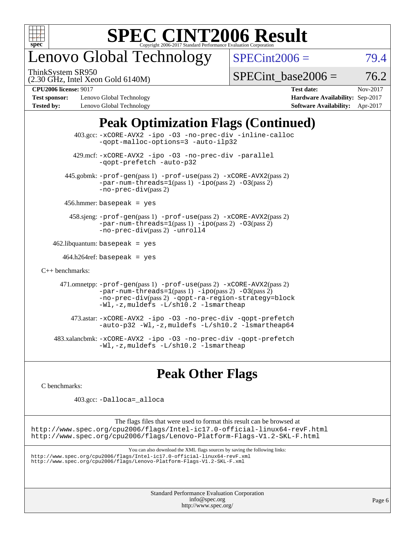

# enovo Global Technology

ThinkSystem SR950

 $SPECint2006 = 79.4$  $SPECint2006 = 79.4$ 

(2.30 GHz, Intel Xeon Gold 6140M)

 $SPECTnt$  base2006 = 76.2

**[Test sponsor:](http://www.spec.org/auto/cpu2006/Docs/result-fields.html#Testsponsor)** Lenovo Global Technology **[Hardware Availability:](http://www.spec.org/auto/cpu2006/Docs/result-fields.html#HardwareAvailability)** Sep-2017 **[Tested by:](http://www.spec.org/auto/cpu2006/Docs/result-fields.html#Testedby)** Lenovo Global Technology **[Software Availability:](http://www.spec.org/auto/cpu2006/Docs/result-fields.html#SoftwareAvailability)** Apr-2017

**[CPU2006 license:](http://www.spec.org/auto/cpu2006/Docs/result-fields.html#CPU2006license)** 9017 **[Test date:](http://www.spec.org/auto/cpu2006/Docs/result-fields.html#Testdate)** Nov-2017

### **[Peak Optimization Flags \(Continued\)](http://www.spec.org/auto/cpu2006/Docs/result-fields.html#PeakOptimizationFlags)**

| $403.\text{sec}: -x \text{CORE-AVX2}$ -ipo -03 -no-prec-div -inline-calloc<br>-gopt-malloc-options=3 -auto-ilp32                                                                                                                                |  |
|-------------------------------------------------------------------------------------------------------------------------------------------------------------------------------------------------------------------------------------------------|--|
| 429.mcf: -xCORE-AVX2 -ipo -03 -no-prec-div -parallel<br>-gopt-prefetch -auto-p32                                                                                                                                                                |  |
| 445.gobmk: -prof-gen(pass 1) -prof-use(pass 2) -xCORE-AVX2(pass 2)<br>$-par-num-threads=1(pass 1) -ipo(pass 2) -03(pass 2)$<br>$-no-prec-div(pass 2)$                                                                                           |  |
| $456.$ hmmer: basepeak = yes                                                                                                                                                                                                                    |  |
| 458.sjeng: -prof-gen(pass 1) -prof-use(pass 2) -xCORE-AVX2(pass 2)<br>$-par-num-threads=1(pass 1) -ipo(pass 2) -03(pass 2)$<br>-no-prec-div(pass 2) -unroll4                                                                                    |  |
| $462$ .libquantum: basepeak = yes                                                                                                                                                                                                               |  |
| $464.h264 \text{ref}$ : basepeak = yes                                                                                                                                                                                                          |  |
| $C_{++}$ benchmarks:                                                                                                                                                                                                                            |  |
| 471.omnetpp: -prof-gen(pass 1) -prof-use(pass 2) -xCORE-AVX2(pass 2)<br>$-par-num-threads=1(pass 1) -ipo(pass 2) -03(pass 2)$<br>-no-prec-div(pass 2) -qopt-ra-region-strategy=block<br>$-Wl$ , $-z$ , muldefs $-L/\nabla L$ , 2 $-l$ smartheap |  |
| 473.astar: -xCORE-AVX2 -ipo -03 -no-prec-div -gopt-prefetch<br>$-$ auto-p32 -Wl,-z, muldefs -L/sh10.2 -lsmartheap64                                                                                                                             |  |
| 483.xalancbmk: -xCORE-AVX2 -ipo -03 -no-prec-div -gopt-prefetch<br>-Wl,-z,muldefs -L/sh10.2 -lsmartheap                                                                                                                                         |  |

### **[Peak Other Flags](http://www.spec.org/auto/cpu2006/Docs/result-fields.html#PeakOtherFlags)**

[C benchmarks](http://www.spec.org/auto/cpu2006/Docs/result-fields.html#Cbenchmarks):

403.gcc: [-Dalloca=\\_alloca](http://www.spec.org/cpu2006/results/res2017q4/cpu2006-20171114-50713.flags.html#b403.gcc_peakEXTRA_CFLAGS_Dalloca_be3056838c12de2578596ca5467af7f3)

The flags files that were used to format this result can be browsed at <http://www.spec.org/cpu2006/flags/Intel-ic17.0-official-linux64-revF.html> <http://www.spec.org/cpu2006/flags/Lenovo-Platform-Flags-V1.2-SKL-F.html>

You can also download the XML flags sources by saving the following links:

<http://www.spec.org/cpu2006/flags/Intel-ic17.0-official-linux64-revF.xml> <http://www.spec.org/cpu2006/flags/Lenovo-Platform-Flags-V1.2-SKL-F.xml>